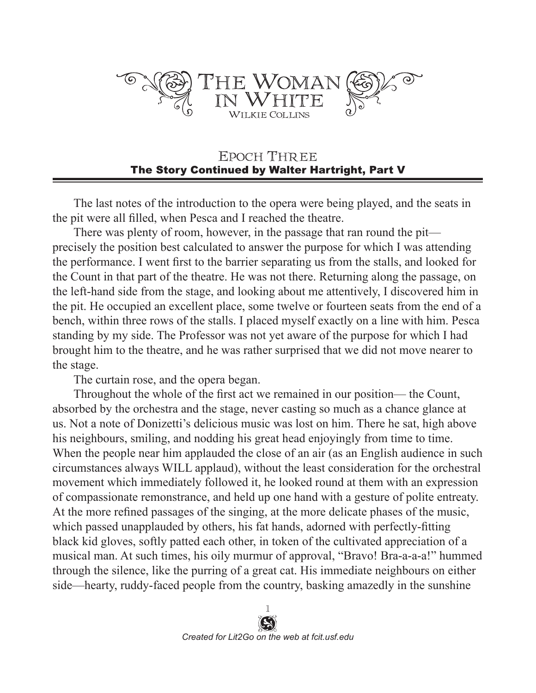

## EPOCH THREE The Story Continued by Walter Hartright, Part V

The last notes of the introduction to the opera were being played, and the seats in the pit were all filled, when Pesca and I reached the theatre.

There was plenty of room, however, in the passage that ran round the pit precisely the position best calculated to answer the purpose for which I was attending the performance. I went first to the barrier separating us from the stalls, and looked for the Count in that part of the theatre. He was not there. Returning along the passage, on the left-hand side from the stage, and looking about me attentively, I discovered him in the pit. He occupied an excellent place, some twelve or fourteen seats from the end of a bench, within three rows of the stalls. I placed myself exactly on a line with him. Pesca standing by my side. The Professor was not yet aware of the purpose for which I had brought him to the theatre, and he was rather surprised that we did not move nearer to the stage.

The curtain rose, and the opera began.

Throughout the whole of the first act we remained in our position— the Count, absorbed by the orchestra and the stage, never casting so much as a chance glance at us. Not a note of Donizetti's delicious music was lost on him. There he sat, high above his neighbours, smiling, and nodding his great head enjoyingly from time to time. When the people near him applauded the close of an air (as an English audience in such circumstances always WILL applaud), without the least consideration for the orchestral movement which immediately followed it, he looked round at them with an expression of compassionate remonstrance, and held up one hand with a gesture of polite entreaty. At the more refined passages of the singing, at the more delicate phases of the music, which passed unapplauded by others, his fat hands, adorned with perfectly-fitting black kid gloves, softly patted each other, in token of the cultivated appreciation of a musical man. At such times, his oily murmur of approval, "Bravo! Bra-a-a-a!" hummed through the silence, like the purring of a great cat. His immediate neighbours on either side—hearty, ruddy-faced people from the country, basking amazedly in the sunshine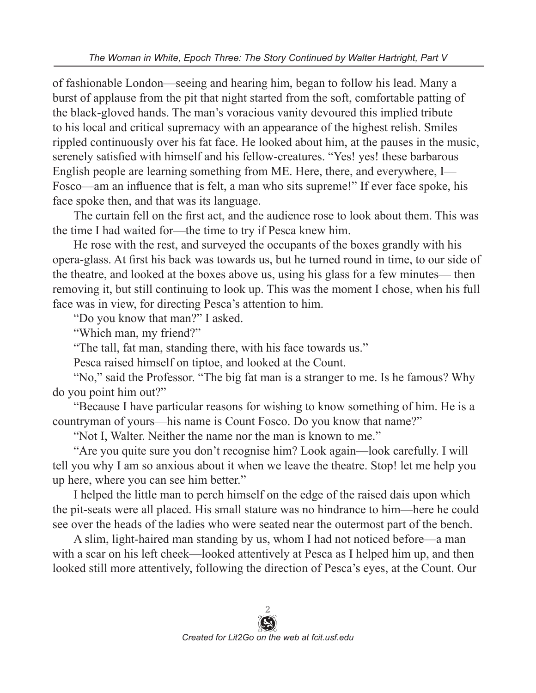of fashionable London—seeing and hearing him, began to follow his lead. Many a burst of applause from the pit that night started from the soft, comfortable patting of the black-gloved hands. The man's voracious vanity devoured this implied tribute to his local and critical supremacy with an appearance of the highest relish. Smiles rippled continuously over his fat face. He looked about him, at the pauses in the music, serenely satisfied with himself and his fellow-creatures. "Yes! yes! these barbarous English people are learning something from ME. Here, there, and everywhere, I— Fosco—am an influence that is felt, a man who sits supreme!" If ever face spoke, his face spoke then, and that was its language.

The curtain fell on the first act, and the audience rose to look about them. This was the time I had waited for—the time to try if Pesca knew him.

He rose with the rest, and surveyed the occupants of the boxes grandly with his opera-glass. At first his back was towards us, but he turned round in time, to our side of the theatre, and looked at the boxes above us, using his glass for a few minutes— then removing it, but still continuing to look up. This was the moment I chose, when his full face was in view, for directing Pesca's attention to him.

"Do you know that man?" I asked.

"Which man, my friend?"

"The tall, fat man, standing there, with his face towards us."

Pesca raised himself on tiptoe, and looked at the Count.

"No," said the Professor. "The big fat man is a stranger to me. Is he famous? Why do you point him out?"

"Because I have particular reasons for wishing to know something of him. He is a countryman of yours—his name is Count Fosco. Do you know that name?"

"Not I, Walter. Neither the name nor the man is known to me."

"Are you quite sure you don't recognise him? Look again—look carefully. I will tell you why I am so anxious about it when we leave the theatre. Stop! let me help you up here, where you can see him better."

I helped the little man to perch himself on the edge of the raised dais upon which the pit-seats were all placed. His small stature was no hindrance to him—here he could see over the heads of the ladies who were seated near the outermost part of the bench.

A slim, light-haired man standing by us, whom I had not noticed before—a man with a scar on his left cheek—looked attentively at Pesca as I helped him up, and then looked still more attentively, following the direction of Pesca's eyes, at the Count. Our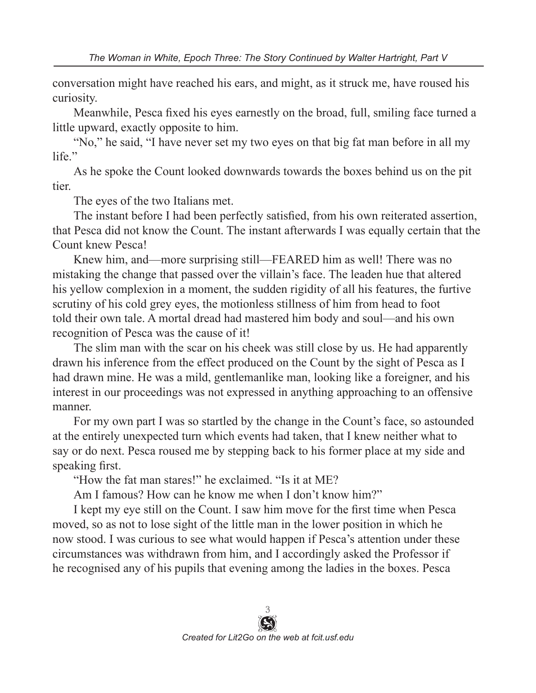conversation might have reached his ears, and might, as it struck me, have roused his curiosity.

Meanwhile, Pesca fixed his eyes earnestly on the broad, full, smiling face turned a little upward, exactly opposite to him.

"No," he said, "I have never set my two eyes on that big fat man before in all my life."

As he spoke the Count looked downwards towards the boxes behind us on the pit tier.

The eyes of the two Italians met.

The instant before I had been perfectly satisfied, from his own reiterated assertion, that Pesca did not know the Count. The instant afterwards I was equally certain that the Count knew Pesca!

Knew him, and—more surprising still—FEARED him as well! There was no mistaking the change that passed over the villain's face. The leaden hue that altered his yellow complexion in a moment, the sudden rigidity of all his features, the furtive scrutiny of his cold grey eyes, the motionless stillness of him from head to foot told their own tale. A mortal dread had mastered him body and soul—and his own recognition of Pesca was the cause of it!

The slim man with the scar on his cheek was still close by us. He had apparently drawn his inference from the effect produced on the Count by the sight of Pesca as I had drawn mine. He was a mild, gentlemanlike man, looking like a foreigner, and his interest in our proceedings was not expressed in anything approaching to an offensive manner.

For my own part I was so startled by the change in the Count's face, so astounded at the entirely unexpected turn which events had taken, that I knew neither what to say or do next. Pesca roused me by stepping back to his former place at my side and speaking first.

"How the fat man stares!" he exclaimed. "Is it at ME?

Am I famous? How can he know me when I don't know him?"

I kept my eye still on the Count. I saw him move for the first time when Pesca moved, so as not to lose sight of the little man in the lower position in which he now stood. I was curious to see what would happen if Pesca's attention under these circumstances was withdrawn from him, and I accordingly asked the Professor if he recognised any of his pupils that evening among the ladies in the boxes. Pesca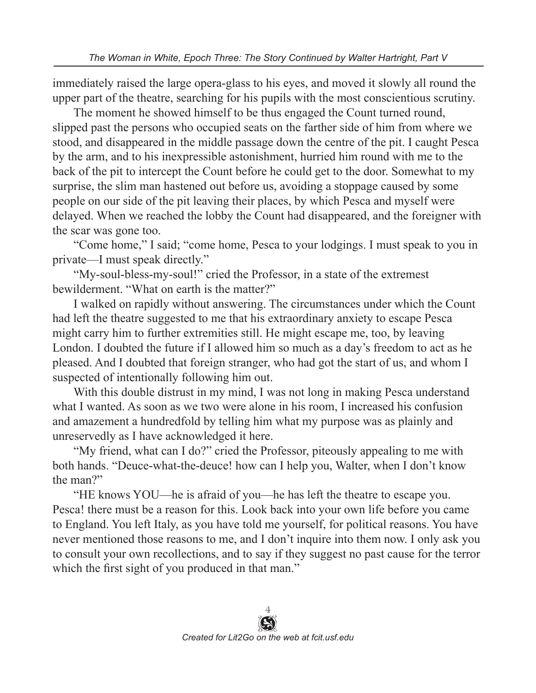immediately raised the large opera-glass to his eyes, and moved it slowly all round the upper part of the theatre, searching for his pupils with the most conscientious scrutiny.

The moment he showed himself to be thus engaged the Count turned round, slipped past the persons who occupied seats on the farther side of him from where we stood, and disappeared in the middle passage down the centre of the pit. I caught Pesca by the arm, and to his inexpressible astonishment, hurried him round with me to the back of the pit to intercept the Count before he could get to the door. Somewhat to my surprise, the slim man hastened out before us, avoiding a stoppage caused by some people on our side of the pit leaving their places, by which Pesca and myself were delayed. When we reached the lobby the Count had disappeared, and the foreigner with the scar was gone too.

"Come home," I said; "come home, Pesca to your lodgings. I must speak to you in private—I must speak directly."

"My-soul-bless-my-soul!" cried the Professor, in a state of the extremest bewilderment. "What on earth is the matter?"

I walked on rapidly without answering. The circumstances under which the Count had left the theatre suggested to me that his extraordinary anxiety to escape Pesca might carry him to further extremities still. He might escape me, too, by leaving London. I doubted the future if I allowed him so much as a day's freedom to act as he pleased. And I doubted that foreign stranger, who had got the start of us, and whom I suspected of intentionally following him out.

With this double distrust in my mind, I was not long in making Pesca understand what I wanted. As soon as we two were alone in his room, I increased his confusion and amazement a hundredfold by telling him what my purpose was as plainly and unreservedly as I have acknowledged it here.

"My friend, what can I do?" cried the Professor, piteously appealing to me with both hands. "Deuce-what-the-deuce! how can I help you, Walter, when I don't know the man?"

"HE knows YOU—he is afraid of you—he has left the theatre to escape you. Pesca! there must be a reason for this. Look back into your own life before you came to England. You left Italy, as you have told me yourself, for political reasons. You have never mentioned those reasons to me, and I don't inquire into them now. I only ask you to consult your own recollections, and to say if they suggest no past cause for the terror which the first sight of you produced in that man."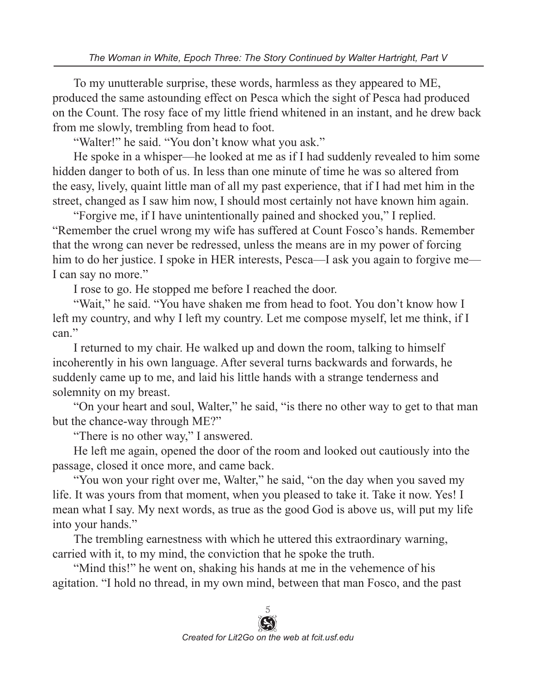To my unutterable surprise, these words, harmless as they appeared to ME, produced the same astounding effect on Pesca which the sight of Pesca had produced on the Count. The rosy face of my little friend whitened in an instant, and he drew back from me slowly, trembling from head to foot.

"Walter!" he said. "You don't know what you ask."

He spoke in a whisper—he looked at me as if I had suddenly revealed to him some hidden danger to both of us. In less than one minute of time he was so altered from the easy, lively, quaint little man of all my past experience, that if I had met him in the street, changed as I saw him now, I should most certainly not have known him again.

"Forgive me, if I have unintentionally pained and shocked you," I replied. "Remember the cruel wrong my wife has suffered at Count Fosco's hands. Remember that the wrong can never be redressed, unless the means are in my power of forcing him to do her justice. I spoke in HER interests, Pesca—I ask you again to forgive me— I can say no more."

I rose to go. He stopped me before I reached the door.

"Wait," he said. "You have shaken me from head to foot. You don't know how I left my country, and why I left my country. Let me compose myself, let me think, if I can."

I returned to my chair. He walked up and down the room, talking to himself incoherently in his own language. After several turns backwards and forwards, he suddenly came up to me, and laid his little hands with a strange tenderness and solemnity on my breast.

"On your heart and soul, Walter," he said, "is there no other way to get to that man but the chance-way through ME?"

"There is no other way," I answered.

He left me again, opened the door of the room and looked out cautiously into the passage, closed it once more, and came back.

"You won your right over me, Walter," he said, "on the day when you saved my life. It was yours from that moment, when you pleased to take it. Take it now. Yes! I mean what I say. My next words, as true as the good God is above us, will put my life into your hands."

The trembling earnestness with which he uttered this extraordinary warning, carried with it, to my mind, the conviction that he spoke the truth.

"Mind this!" he went on, shaking his hands at me in the vehemence of his agitation. "I hold no thread, in my own mind, between that man Fosco, and the past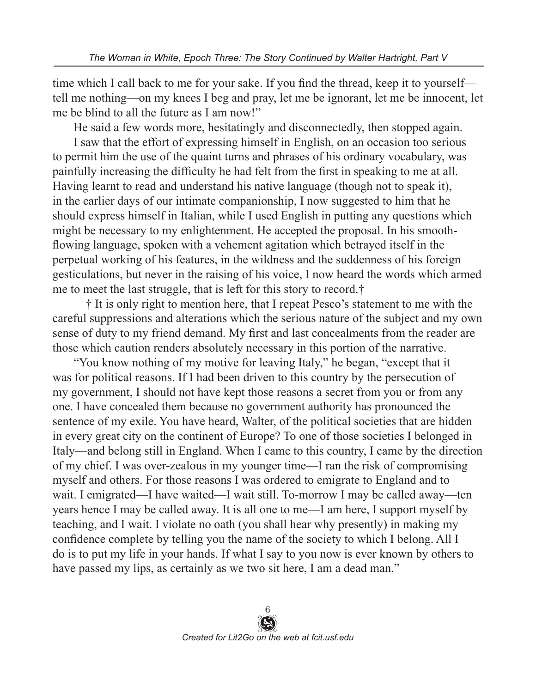time which I call back to me for your sake. If you find the thread, keep it to yourself tell me nothing—on my knees I beg and pray, let me be ignorant, let me be innocent, let me be blind to all the future as I am now!"

He said a few words more, hesitatingly and disconnectedly, then stopped again.

I saw that the effort of expressing himself in English, on an occasion too serious to permit him the use of the quaint turns and phrases of his ordinary vocabulary, was painfully increasing the difficulty he had felt from the first in speaking to me at all. Having learnt to read and understand his native language (though not to speak it), in the earlier days of our intimate companionship, I now suggested to him that he should express himself in Italian, while I used English in putting any questions which might be necessary to my enlightenment. He accepted the proposal. In his smoothflowing language, spoken with a vehement agitation which betrayed itself in the perpetual working of his features, in the wildness and the suddenness of his foreign gesticulations, but never in the raising of his voice, I now heard the words which armed me to meet the last struggle, that is left for this story to record.†

 † It is only right to mention here, that I repeat Pesco's statement to me with the careful suppressions and alterations which the serious nature of the subject and my own sense of duty to my friend demand. My first and last concealments from the reader are those which caution renders absolutely necessary in this portion of the narrative.

"You know nothing of my motive for leaving Italy," he began, "except that it was for political reasons. If I had been driven to this country by the persecution of my government, I should not have kept those reasons a secret from you or from any one. I have concealed them because no government authority has pronounced the sentence of my exile. You have heard, Walter, of the political societies that are hidden in every great city on the continent of Europe? To one of those societies I belonged in Italy—and belong still in England. When I came to this country, I came by the direction of my chief. I was over-zealous in my younger time—I ran the risk of compromising myself and others. For those reasons I was ordered to emigrate to England and to wait. I emigrated—I have waited—I wait still. To-morrow I may be called away—ten years hence I may be called away. It is all one to me—I am here, I support myself by teaching, and I wait. I violate no oath (you shall hear why presently) in making my confidence complete by telling you the name of the society to which I belong. All I do is to put my life in your hands. If what I say to you now is ever known by others to have passed my lips, as certainly as we two sit here, I am a dead man."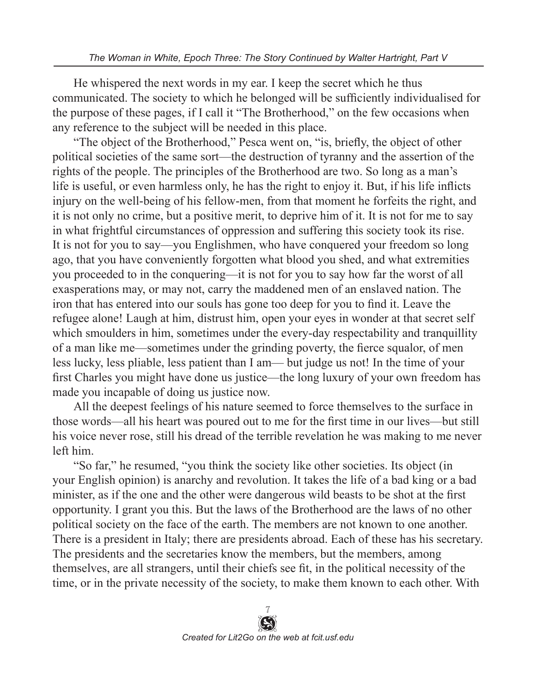He whispered the next words in my ear. I keep the secret which he thus communicated. The society to which he belonged will be sufficiently individualised for the purpose of these pages, if I call it "The Brotherhood," on the few occasions when any reference to the subject will be needed in this place.

"The object of the Brotherhood," Pesca went on, "is, briefly, the object of other political societies of the same sort—the destruction of tyranny and the assertion of the rights of the people. The principles of the Brotherhood are two. So long as a man's life is useful, or even harmless only, he has the right to enjoy it. But, if his life inflicts injury on the well-being of his fellow-men, from that moment he forfeits the right, and it is not only no crime, but a positive merit, to deprive him of it. It is not for me to say in what frightful circumstances of oppression and suffering this society took its rise. It is not for you to say—you Englishmen, who have conquered your freedom so long ago, that you have conveniently forgotten what blood you shed, and what extremities you proceeded to in the conquering—it is not for you to say how far the worst of all exasperations may, or may not, carry the maddened men of an enslaved nation. The iron that has entered into our souls has gone too deep for you to find it. Leave the refugee alone! Laugh at him, distrust him, open your eyes in wonder at that secret self which smoulders in him, sometimes under the every-day respectability and tranquillity of a man like me—sometimes under the grinding poverty, the fierce squalor, of men less lucky, less pliable, less patient than I am— but judge us not! In the time of your first Charles you might have done us justice—the long luxury of your own freedom has made you incapable of doing us justice now.

All the deepest feelings of his nature seemed to force themselves to the surface in those words—all his heart was poured out to me for the first time in our lives—but still his voice never rose, still his dread of the terrible revelation he was making to me never left him.

"So far," he resumed, "you think the society like other societies. Its object (in your English opinion) is anarchy and revolution. It takes the life of a bad king or a bad minister, as if the one and the other were dangerous wild beasts to be shot at the first opportunity. I grant you this. But the laws of the Brotherhood are the laws of no other political society on the face of the earth. The members are not known to one another. There is a president in Italy; there are presidents abroad. Each of these has his secretary. The presidents and the secretaries know the members, but the members, among themselves, are all strangers, until their chiefs see fit, in the political necessity of the time, or in the private necessity of the society, to make them known to each other. With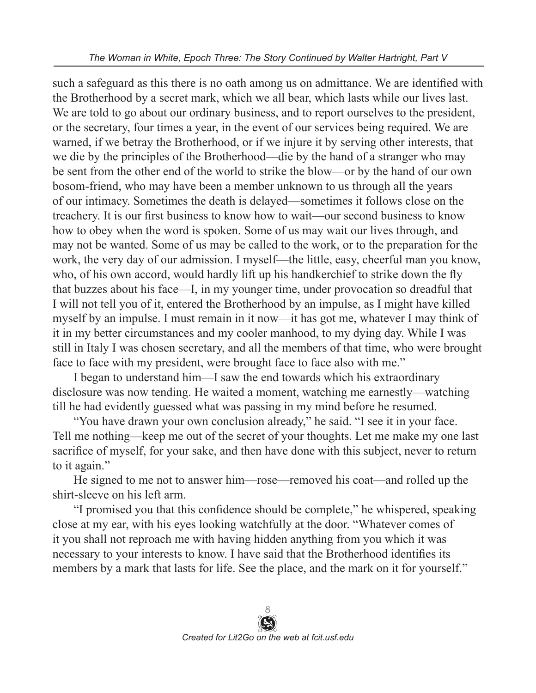such a safeguard as this there is no oath among us on admittance. We are identified with the Brotherhood by a secret mark, which we all bear, which lasts while our lives last. We are told to go about our ordinary business, and to report ourselves to the president, or the secretary, four times a year, in the event of our services being required. We are warned, if we betray the Brotherhood, or if we injure it by serving other interests, that we die by the principles of the Brotherhood—die by the hand of a stranger who may be sent from the other end of the world to strike the blow—or by the hand of our own bosom-friend, who may have been a member unknown to us through all the years of our intimacy. Sometimes the death is delayed—sometimes it follows close on the treachery. It is our first business to know how to wait—our second business to know how to obey when the word is spoken. Some of us may wait our lives through, and may not be wanted. Some of us may be called to the work, or to the preparation for the work, the very day of our admission. I myself—the little, easy, cheerful man you know, who, of his own accord, would hardly lift up his handkerchief to strike down the fly that buzzes about his face—I, in my younger time, under provocation so dreadful that I will not tell you of it, entered the Brotherhood by an impulse, as I might have killed myself by an impulse. I must remain in it now—it has got me, whatever I may think of it in my better circumstances and my cooler manhood, to my dying day. While I was still in Italy I was chosen secretary, and all the members of that time, who were brought face to face with my president, were brought face to face also with me."

I began to understand him—I saw the end towards which his extraordinary disclosure was now tending. He waited a moment, watching me earnestly—watching till he had evidently guessed what was passing in my mind before he resumed.

"You have drawn your own conclusion already," he said. "I see it in your face. Tell me nothing—keep me out of the secret of your thoughts. Let me make my one last sacrifice of myself, for your sake, and then have done with this subject, never to return to it again."

He signed to me not to answer him—rose—removed his coat—and rolled up the shirt-sleeve on his left arm.

"I promised you that this confidence should be complete," he whispered, speaking close at my ear, with his eyes looking watchfully at the door. "Whatever comes of it you shall not reproach me with having hidden anything from you which it was necessary to your interests to know. I have said that the Brotherhood identifies its members by a mark that lasts for life. See the place, and the mark on it for yourself."